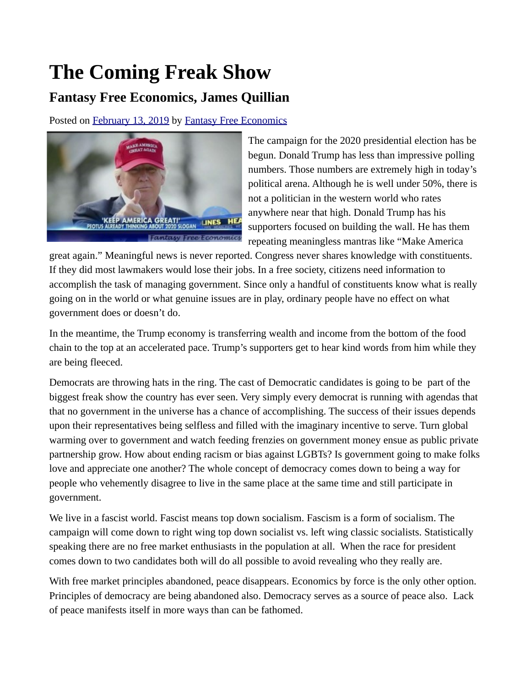## **The Coming Freak Show**

## **Fantasy Free Economics, James Quillian**

Posted on [February 13, 2019](http://quillian.net/blog/?p=5994) by [Fantasy Free Economics](http://quillian.net/blog/author/james-quillian/)



The campaign for the 2020 presidential election has be begun. Donald Trump has less than impressive polling numbers. Those numbers are extremely high in today's political arena. Although he is well under 50%, there is not a politician in the western world who rates anywhere near that high. Donald Trump has his supporters focused on building the wall. He has them repeating meaningless mantras like "Make America

great again." Meaningful news is never reported. Congress never shares knowledge with constituents. If they did most lawmakers would lose their jobs. In a free society, citizens need information to accomplish the task of managing government. Since only a handful of constituents know what is really going on in the world or what genuine issues are in play, ordinary people have no effect on what government does or doesn't do.

In the meantime, the Trump economy is transferring wealth and income from the bottom of the food chain to the top at an accelerated pace. Trump's supporters get to hear kind words from him while they are being fleeced.

Democrats are throwing hats in the ring. The cast of Democratic candidates is going to be part of the biggest freak show the country has ever seen. Very simply every democrat is running with agendas that that no government in the universe has a chance of accomplishing. The success of their issues depends upon their representatives being selfless and filled with the imaginary incentive to serve. Turn global warming over to government and watch feeding frenzies on government money ensue as public private partnership grow. How about ending racism or bias against LGBTs? Is government going to make folks love and appreciate one another? The whole concept of democracy comes down to being a way for people who vehemently disagree to live in the same place at the same time and still participate in government.

We live in a fascist world. Fascist means top down socialism. Fascism is a form of socialism. The campaign will come down to right wing top down socialist vs. left wing classic socialists. Statistically speaking there are no free market enthusiasts in the population at all. When the race for president comes down to two candidates both will do all possible to avoid revealing who they really are.

With free market principles abandoned, peace disappears. Economics by force is the only other option. Principles of democracy are being abandoned also. Democracy serves as a source of peace also. Lack of peace manifests itself in more ways than can be fathomed.